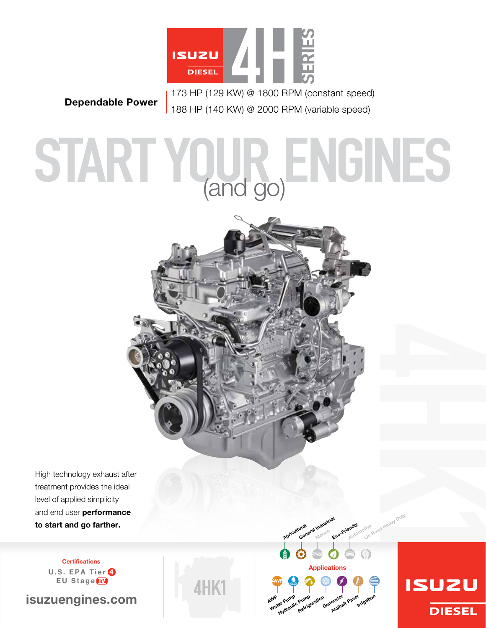

173 HP (129 kW) @ 1800 RPM (constant speed) Dependable Power<br>188 HP (140 KW) @ 2000 RPM (variable speed)

# START YQUR, ENGINES



Applications

Pump<sub>eration</sub><br>Refrigeration Generator <sub>Paver</sub>

Eco-Friendly Automotive

tive <sub>Road Heavy Duty</sub>

**ISUZU** 

**DIESEL** 

Irrigation

ural<br>General Industrial<br>General <sub>Marine</sub> Marine

Agricultural

WP Pump<br>Water Pump

er Pump<br>Pump Pump<br>Hydraulic <sub>Refrigi</sub>

AWP

**AHK** 

High technology exhaust after treatment provides the ideal level of applied simplicity and end user performance to start and go farther.

> **Certifications** U.S. EPA Tier <sup>4</sup> EU Stage<sup>IV</sup>

isuzuengines.com